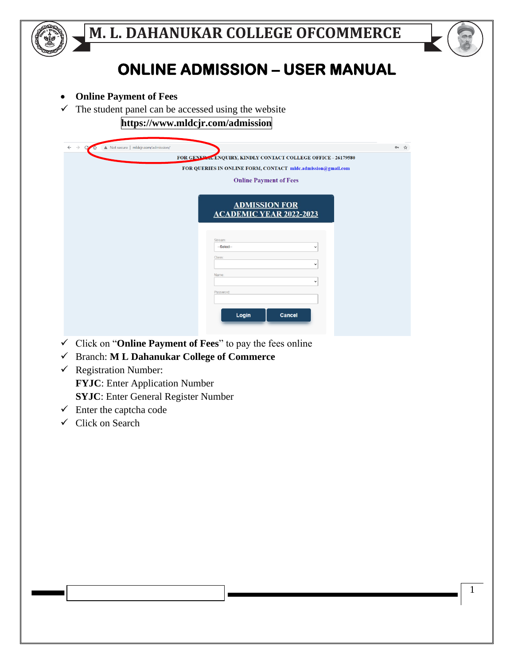

## **ONLINE ADMISSION – USER MANUAL**

- **Online Payment of Fees**
- $\checkmark$  The student panel can be accessed using the website

## **https://www.mldcjr.com/admission**

| A Not secure   mldcjr.com/admission/<br>$\rightarrow$<br>$\leftarrow$<br>C<br>$\overline{\phantom{a}}$ |                                                                                                                                                                                          | ☆<br>$O_T$ |
|--------------------------------------------------------------------------------------------------------|------------------------------------------------------------------------------------------------------------------------------------------------------------------------------------------|------------|
|                                                                                                        | FOR GENERAL ENQUIRY, KINDLY CONTACT COLLEGE OFFICE - 26179580                                                                                                                            |            |
|                                                                                                        | FOR QUERIES IN ONLINE FORM, CONTACT mldc.admission@gmail.com                                                                                                                             |            |
|                                                                                                        |                                                                                                                                                                                          |            |
|                                                                                                        | <b>Online Payment of Fees</b>                                                                                                                                                            |            |
|                                                                                                        | <b>ADMISSION FOR</b><br><b>ACADEMIC YEAR 2022-2023</b><br>Stream:<br>--Select--<br>$\checkmark$<br>Class:<br>$\check{ }$<br>Name:<br>$\checkmark$<br>Password:<br>Login<br><b>Cancel</b> |            |

- ✓ Click on "**Online Payment of Fees**" to pay the fees online
- ✓ Branch: **M L Dahanukar College of Commerce**
- $\checkmark$  Registration Number: **FYJC**: Enter Application Number **SYJC**: Enter General Register Number
- $\checkmark$  Enter the captcha code
- $\checkmark$  Click on Search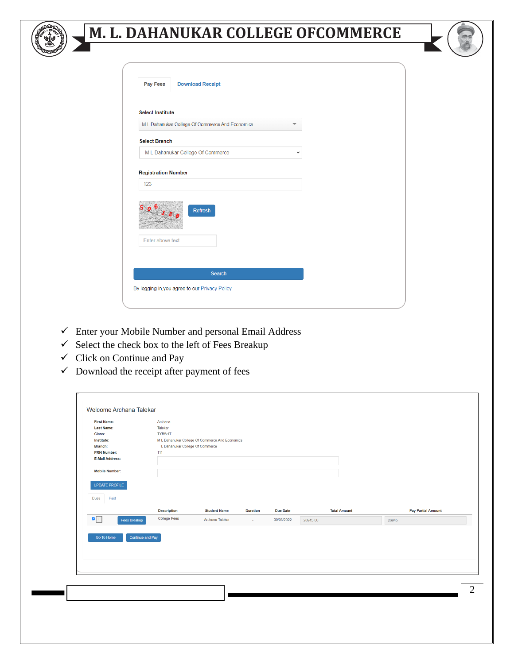

| <b>Select Institute</b>                         |              |
|-------------------------------------------------|--------------|
| M L Dahanukar College Of Commerce And Economics |              |
| <b>Select Branch</b>                            |              |
| M L Dahanukar College Of Commerce               | $\checkmark$ |
| Refresh                                         |              |
| Enter above text                                |              |
|                                                 |              |
|                                                 |              |

- $\checkmark$  Enter your Mobile Number and personal Email Address
- $\checkmark$  Select the check box to the left of Fees Breakup
- $\checkmark$  Click on Continue and Pay
- $\checkmark$  Download the receipt after payment of fees

| Talekar            |                                                                  |                                  |                                                 |          |                           |
|--------------------|------------------------------------------------------------------|----------------------------------|-------------------------------------------------|----------|---------------------------|
|                    |                                                                  |                                  |                                                 |          |                           |
|                    |                                                                  |                                  |                                                 |          |                           |
|                    |                                                                  |                                  |                                                 |          |                           |
|                    |                                                                  |                                  |                                                 |          |                           |
|                    |                                                                  |                                  |                                                 |          |                           |
|                    |                                                                  |                                  |                                                 |          |                           |
|                    |                                                                  |                                  |                                                 |          |                           |
|                    |                                                                  |                                  |                                                 |          |                           |
|                    |                                                                  |                                  |                                                 |          |                           |
| <b>Description</b> | <b>Student Name</b>                                              | <b>Duration</b>                  | Due Date                                        |          | <b>Pay Partial Amount</b> |
| College Fees       | Archana Talekar                                                  | $\sim$                           | 30/03/2022                                      | 26945.00 | 26945                     |
|                    |                                                                  |                                  |                                                 |          |                           |
|                    |                                                                  |                                  |                                                 |          |                           |
|                    |                                                                  |                                  |                                                 |          |                           |
|                    |                                                                  |                                  |                                                 |          |                           |
|                    |                                                                  |                                  |                                                 |          |                           |
|                    |                                                                  |                                  |                                                 |          |                           |
|                    |                                                                  |                                  |                                                 |          |                           |
|                    | <b>TYBScIT</b><br>111<br>Fees Breakup<br><b>Continue and Pay</b> | IL Dahanukar College Of Commerce | M L Dahanukar College Of Commerce And Economics |          | <b>Total Amount</b>       |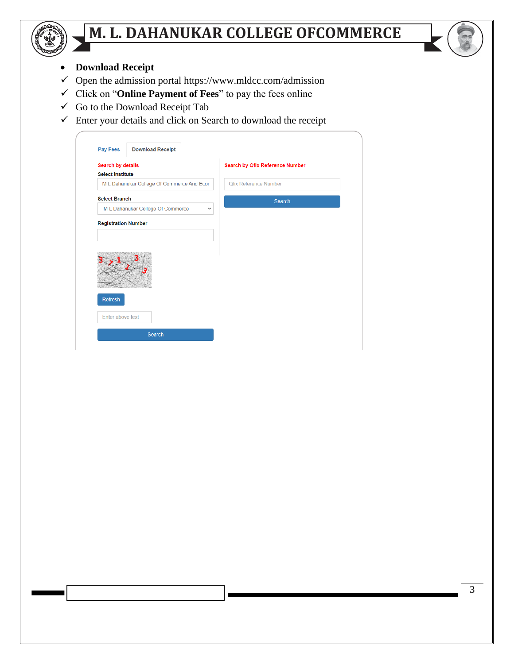

- **Download Receipt**
- $\checkmark$  Open the admission portal https://www.mldcc.com/admission
- ✓ Click on "**Online Payment of Fees**" to pay the fees online
- ✓ Go to the Download Receipt Tab
- $\checkmark$  Enter your details and click on Search to download the receipt

| <b>Search by details</b> |                                            |              | <b>Search by Qfix Reference Number</b> |  |
|--------------------------|--------------------------------------------|--------------|----------------------------------------|--|
| <b>Select Institute</b>  |                                            |              |                                        |  |
|                          | M L Dahanukar College Of Commerce And Ecor |              | <b>Qfix Reference Number</b>           |  |
| <b>Select Branch</b>     |                                            |              | Search                                 |  |
|                          | M L Dahanukar College Of Commerce          | $\checkmark$ |                                        |  |
|                          | <b>Registration Number</b>                 |              |                                        |  |
|                          |                                            |              |                                        |  |
|                          |                                            |              |                                        |  |
| Refresh                  |                                            |              |                                        |  |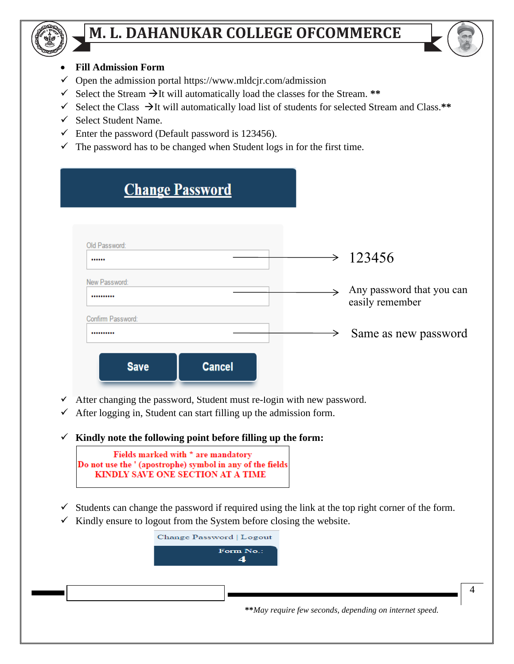

### • **Fill Admission Form**

- $\checkmark$  Open the admission portal https://www.mldcjr.com/admission
- ✓ Select the Stream →It will automatically load the classes for the Stream. **\*\***
- ✓ Select the Class →It will automatically load list of students for selected Stream and Class.**\*\***
- ✓ Select Student Name.
- $\checkmark$  Enter the password (Default password is 123456).
- $\checkmark$  The password has to be changed when Student logs in for the first time.

| <b>Change Password</b>       |               |                                              |
|------------------------------|---------------|----------------------------------------------|
|                              |               |                                              |
| Old Password:<br>            | $\rightarrow$ | 123456                                       |
| New Password:<br>            | $\rightarrow$ | Any password that you can<br>easily remember |
| Confirm Password:<br>        | →             | Same as new password                         |
| <b>Cancel</b><br><b>Save</b> |               |                                              |

- ✓ After changing the password, Student must re-login with new password.
- $\checkmark$  After logging in, Student can start filling up the admission form.
- ✓ **Kindly note the following point before filling up the form:**

| Fields marked with $\star$ are mandatory                  |  |
|-----------------------------------------------------------|--|
| Do not use the ' (apostrophe) symbol in any of the fields |  |
| KINDLY SAVE ONE SECTION AT A TIME                         |  |

- $\checkmark$  Students can change the password if required using the link at the top right corner of the form.
- $\checkmark$  Kindly ensure to logout from the System before closing the website.



**\*\****May require few seconds, depending on internet speed.*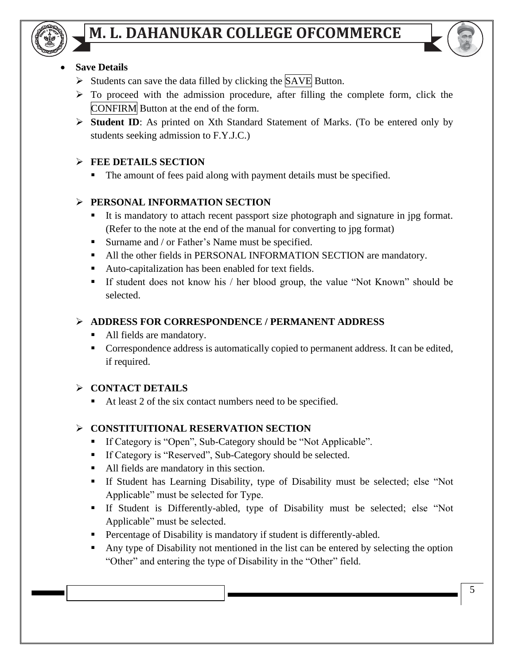

### **Save Details**

- ➢ Students can save the data filled by clicking the SAVE Button.
- ➢ To proceed with the admission procedure, after filling the complete form, click the CONFIRM Button at the end of the form.
- ➢ **Student ID**: As printed on Xth Standard Statement of Marks. (To be entered only by students seeking admission to F.Y.J.C.)

## ➢ **FEE DETAILS SECTION**

■ The amount of fees paid along with payment details must be specified.

## ➢ **PERSONAL INFORMATION SECTION**

- It is mandatory to attach recent passport size photograph and signature in jpg format. (Refer to the note at the end of the manual for converting to jpg format)
- Surname and / or Father's Name must be specified.
- All the other fields in PERSONAL INFORMATION SECTION are mandatory.
- Auto-capitalization has been enabled for text fields.
- If student does not know his / her blood group, the value "Not Known" should be selected.

## ➢ **ADDRESS FOR CORRESPONDENCE / PERMANENT ADDRESS**

- All fields are mandatory.
- Correspondence address is automatically copied to permanent address. It can be edited, if required.

## ➢ **CONTACT DETAILS**

■ At least 2 of the six contact numbers need to be specified.

## ➢ **CONSTITUITIONAL RESERVATION SECTION**

- If Category is "Open", Sub-Category should be "Not Applicable".
- If Category is "Reserved", Sub-Category should be selected.
- All fields are mandatory in this section.
- If Student has Learning Disability, type of Disability must be selected; else "Not Applicable" must be selected for Type.
- If Student is Differently-abled, type of Disability must be selected; else "Not Applicable" must be selected.
- Percentage of Disability is mandatory if student is differently-abled.
- Any type of Disability not mentioned in the list can be entered by selecting the option "Other" and entering the type of Disability in the "Other" field.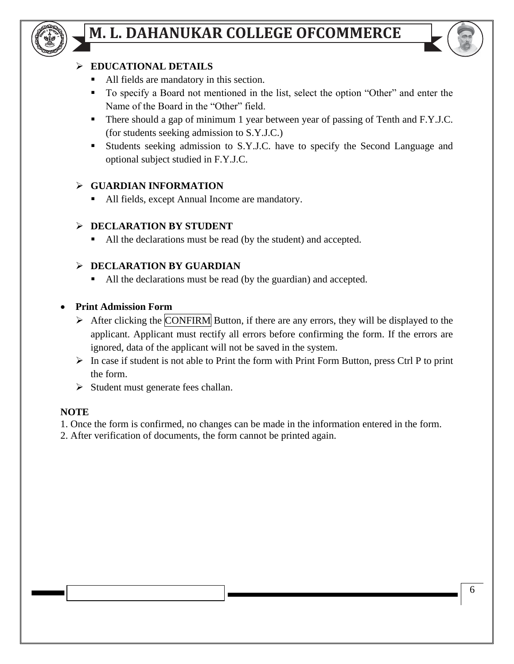



#### ➢ **EDUCATIONAL DETAILS**

- All fields are mandatory in this section.
- To specify a Board not mentioned in the list, select the option "Other" and enter the Name of the Board in the "Other" field.
- There should a gap of minimum 1 year between year of passing of Tenth and F.Y.J.C. (for students seeking admission to S.Y.J.C.)
- Students seeking admission to S.Y.J.C. have to specify the Second Language and optional subject studied in F.Y.J.C.

#### ➢ **GUARDIAN INFORMATION**

■ All fields, except Annual Income are mandatory.

#### ➢ **DECLARATION BY STUDENT**

■ All the declarations must be read (by the student) and accepted.

#### ➢ **DECLARATION BY GUARDIAN**

■ All the declarations must be read (by the guardian) and accepted.

#### • **Print Admission Form**

- $\triangleright$  After clicking the CONFIRM Button, if there are any errors, they will be displayed to the applicant. Applicant must rectify all errors before confirming the form. If the errors are ignored, data of the applicant will not be saved in the system.
- $\triangleright$  In case if student is not able to Print the form with Print Form Button, press Ctrl P to print the form.
- ➢ Student must generate fees challan.

#### **NOTE**

- 1. Once the form is confirmed, no changes can be made in the information entered in the form.
- 2. After verification of documents, the form cannot be printed again.